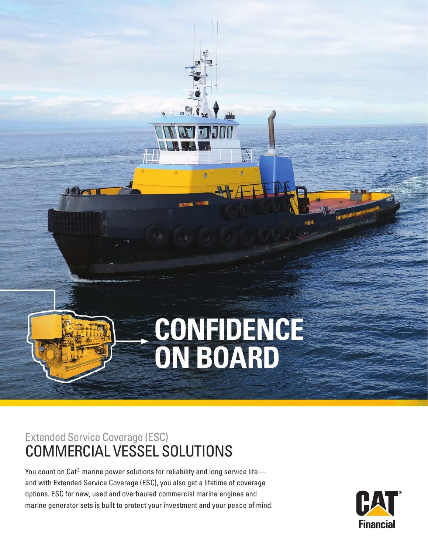# **CONFIDENCE ON BOARD**

mil

 $0.6$ 

# Extended Service Coverage (ESC) COMMERCIAL VESSEL SOLUTIONS

1900

You count on Cat<sup>®</sup> marine power solutions for reliability and long service life and with Extended Service Coverage (ESC), you also get a lifetime of coverage options. ESC for new, used and overhauled commercial marine engines and marine generator sets is built to protect your investment and your peace of mind.